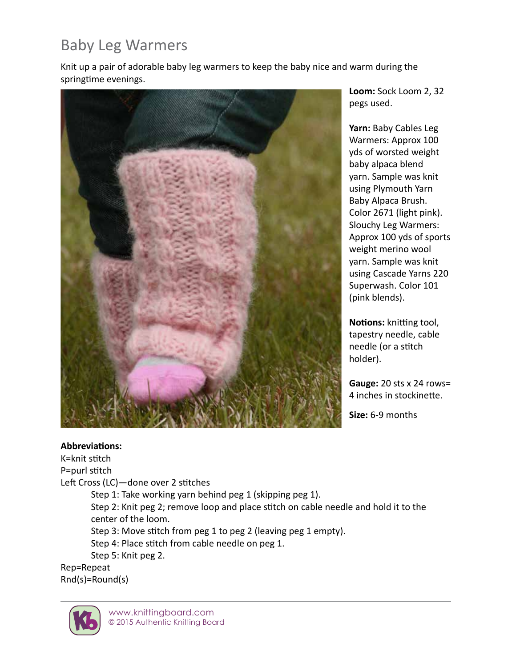# Baby Leg Warmers

Knit up a pair of adorable baby leg warmers to keep the baby nice and warm during the springtime evenings.



**Loom:** Sock Loom 2, 32 pegs used.

Yarn: Baby Cables Leg Warmers: Approx 100 yds of worsted weight baby alpaca blend yarn. Sample was knit using Plymouth Yarn Baby Alpaca Brush. Color 2671 (light pink). Slouchy Leg Warmers: Approx 100 yds of sports weight merino wool yarn. Sample was knit using Cascade Yarns 220 Superwash. Color 101 (pink blends).

**Notions:** knitting tool, tapestry needle, cable needle (or a stitch holder).

**Gauge:** 20 sts x 24 rows= 4 inches in stockinette.

**Size:** 6-9 months

#### **Abbreviations:**

K=knit stitch P=purl stitch Left Cross (LC)—done over 2 stitches Step 1: Take working yarn behind peg 1 (skipping peg 1).

Step 2: Knit peg 2; remove loop and place stitch on cable needle and hold it to the center of the loom.

Step 3: Move stitch from peg 1 to peg 2 (leaving peg 1 empty).

Step 4: Place stitch from cable needle on peg 1.

Step 5: Knit peg 2.

Rep=Repeat Rnd(s)=Round(s)